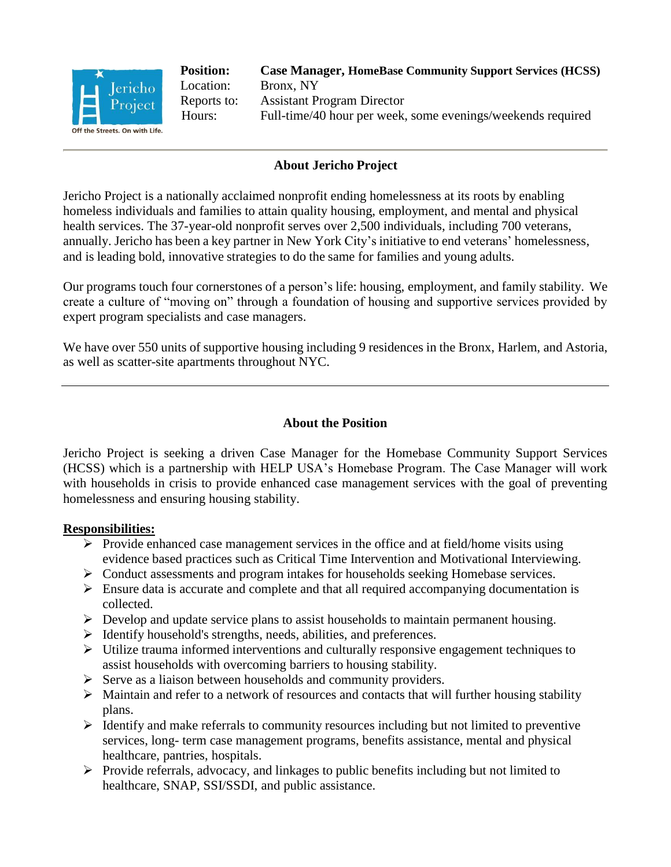

**Position: Case Manager, HomeBase Community Support Services (HCSS)** Location: Bronx, NY Reports to: Assistant Program Director Hours: Full-time/40 hour per week, some evenings/weekends required

# **About Jericho Project**

Jericho Project is a nationally acclaimed nonprofit ending homelessness at its roots by enabling homeless individuals and families to attain quality housing, employment, and mental and physical health services. The 37-year-old nonprofit serves over 2,500 individuals, including 700 veterans, annually. Jericho has been a key partner in New York City's initiative to end veterans' homelessness, and is leading bold, innovative strategies to do the same for families and young adults.

Our programs touch four cornerstones of a person's life: housing, employment, and family stability. We create a culture of "moving on" through a foundation of housing and supportive services provided by expert program specialists and case managers.

We have over 550 units of supportive housing including 9 residences in the Bronx, Harlem, and Astoria, as well as scatter-site apartments throughout NYC.

## **About the Position**

Jericho Project is seeking a driven Case Manager for the Homebase Community Support Services (HCSS) which is a partnership with HELP USA's Homebase Program. The Case Manager will work with households in crisis to provide enhanced case management services with the goal of preventing homelessness and ensuring housing stability.

## **Responsibilities:**

- $\triangleright$  Provide enhanced case management services in the office and at field/home visits using evidence based practices such as Critical Time Intervention and Motivational Interviewing.
- Conduct assessments and program intakes for households seeking Homebase services.
- $\triangleright$  Ensure data is accurate and complete and that all required accompanying documentation is collected.
- $\triangleright$  Develop and update service plans to assist households to maintain permanent housing.
- $\triangleright$  Identify household's strengths, needs, abilities, and preferences.
- $\triangleright$  Utilize trauma informed interventions and culturally responsive engagement techniques to assist households with overcoming barriers to housing stability.
- $\triangleright$  Serve as a liaison between households and community providers.
- $\triangleright$  Maintain and refer to a network of resources and contacts that will further housing stability plans.
- $\triangleright$  Identify and make referrals to community resources including but not limited to preventive services, long- term case management programs, benefits assistance, mental and physical healthcare, pantries, hospitals.
- $\triangleright$  Provide referrals, advocacy, and linkages to public benefits including but not limited to healthcare, SNAP, SSI/SSDI, and public assistance.